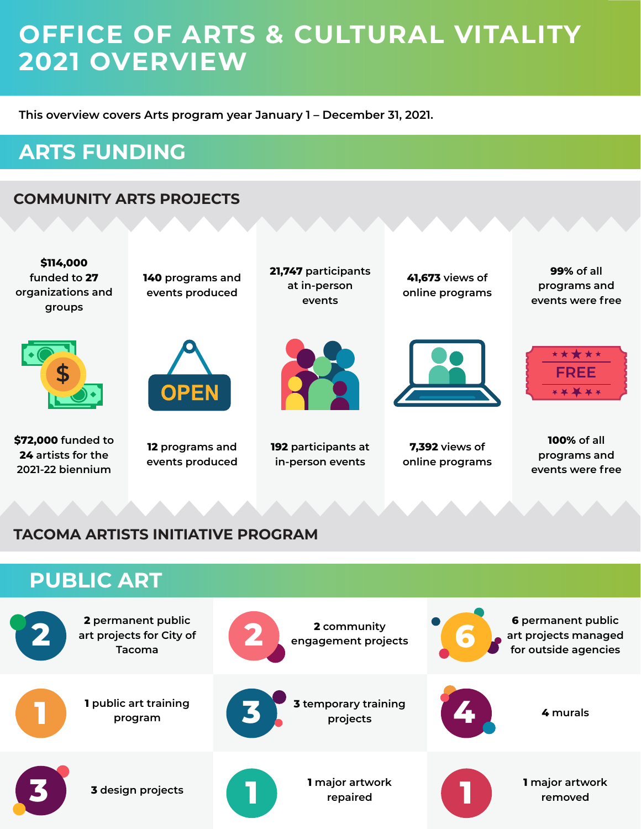## **OFFICE OF ARTS & CULTURAL VITALITY 2021 OVERVIEW**

**This overview covers Arts program year January 1 – December 31, 2021.**

### **ARTS FUNDING**

#### **COMMUNITY ARTS PROJECTS**



#### **TACOMA ARTISTS INITIATIVE PROGRAM**

**3** design projects

**3**

#### **PUBLIC ART 2 permanent public art projects for City of Tacoma 2 community engagement projects 1 public art training program 3 temporary training**  projects **4** murals **2 art projects for City of 1 3 4 6**

**repaired**

**1 1**

**1 major artwork removed**

**6 permanent public art projects managed for outside agencies**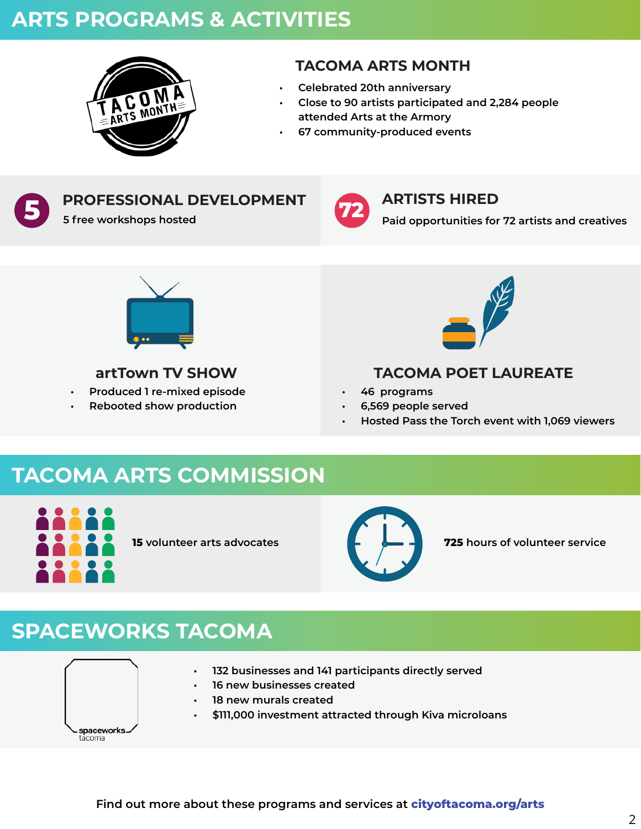### **ARTS PROGRAMS & ACTIVITIES**



#### **TACOMA ARTS MONTH**

- **• Celebrated 20th anniversary**
- **• Close to 90 artists participated and 2,284 people attended Arts at the Armory**
- **• 67 community-produced events**



# **PROFESSIONAL DEVELOPMENT**

**5 free workshops hosted** 



#### **ARTISTS HIRED**

**Paid opportunities for 72 artists and creatives**



#### **artTown TV SHOW**

- **• Produced 1 re-mixed episode**
- **• Rebooted show production**



#### **TACOMA POET LAUREATE**

- **• 46 programs**
- **• 6,569 people served**
- **• Hosted Pass the Torch event with 1,069 viewers**

### **TACOMA ARTS COMMISSION**





**15 volunteer arts advocates 725 hours of volunteer service**

### **SPACEWORKS TACOMA**

spaceworks äcoma

- **• 132 businesses and 141 participants directly served** 
	- **• 16 new businesses created**
	- **• 18 new murals created**
	- **• \$111,000 investment attracted through Kiva microloans**